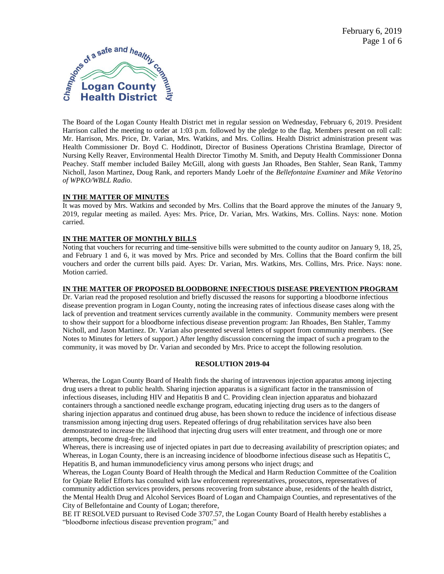

The Board of the Logan County Health District met in regular session on Wednesday, February 6, 2019. President Harrison called the meeting to order at 1:03 p.m. followed by the pledge to the flag. Members present on roll call: Mr. Harrison, Mrs. Price, Dr. Varian, Mrs. Watkins, and Mrs. Collins. Health District administration present was Health Commissioner Dr. Boyd C. Hoddinott, Director of Business Operations Christina Bramlage, Director of Nursing Kelly Reaver, Environmental Health Director Timothy M. Smith, and Deputy Health Commissioner Donna Peachey. Staff member included Bailey McGill, along with guests Jan Rhoades, Ben Stahler, Sean Rank, Tammy Nicholl, Jason Martinez, Doug Rank, and reporters Mandy Loehr of the *Bellefontaine Examiner* and *Mike Vetorino of WPKO/WBLL Radio*.

## **IN THE MATTER OF MINUTES**

It was moved by Mrs. Watkins and seconded by Mrs. Collins that the Board approve the minutes of the January 9, 2019, regular meeting as mailed. Ayes: Mrs. Price, Dr. Varian, Mrs. Watkins, Mrs. Collins. Nays: none. Motion carried.

## **IN THE MATTER OF MONTHLY BILLS**

Noting that vouchers for recurring and time-sensitive bills were submitted to the county auditor on January 9, 18, 25, and February 1 and 6, it was moved by Mrs. Price and seconded by Mrs. Collins that the Board confirm the bill vouchers and order the current bills paid. Ayes: Dr. Varian, Mrs. Watkins, Mrs. Collins, Mrs. Price. Nays: none. Motion carried.

#### **IN THE MATTER OF PROPOSED BLOODBORNE INFECTIOUS DISEASE PREVENTION PROGRAM**

Dr. Varian read the proposed resolution and briefly discussed the reasons for supporting a bloodborne infectious disease prevention program in Logan County, noting the increasing rates of infectious disease cases along with the lack of prevention and treatment services currently available in the community. Community members were present to show their support for a bloodborne infectious disease prevention program: Jan Rhoades, Ben Stahler, Tammy Nicholl, and Jason Martinez. Dr. Varian also presented several letters of support from community members. (See Notes to Minutes for letters of support.) After lengthy discussion concerning the impact of such a program to the community, it was moved by Dr. Varian and seconded by Mrs. Price to accept the following resolution.

#### **RESOLUTION 2019-04**

Whereas, the Logan County Board of Health finds the sharing of intravenous injection apparatus among injecting drug users a threat to public health. Sharing injection apparatus is a significant factor in the transmission of infectious diseases, including HIV and Hepatitis B and C. Providing clean injection apparatus and biohazard containers through a sanctioned needle exchange program, educating injecting drug users as to the dangers of sharing injection apparatus and continued drug abuse, has been shown to reduce the incidence of infectious disease transmission among injecting drug users. Repeated offerings of drug rehabilitation services have also been demonstrated to increase the likelihood that injecting drug users will enter treatment, and through one or more attempts, become drug-free; and

Whereas, there is increasing use of injected opiates in part due to decreasing availability of prescription opiates; and Whereas, in Logan County, there is an increasing incidence of bloodborne infectious disease such as Hepatitis C, Hepatitis B, and human immunodeficiency virus among persons who inject drugs; and

Whereas, the Logan County Board of Health through the Medical and Harm Reduction Committee of the Coalition for Opiate Relief Efforts has consulted with law enforcement representatives, prosecutors, representatives of community addiction services providers, persons recovering from substance abuse, residents of the health district, the Mental Health Drug and Alcohol Services Board of Logan and Champaign Counties, and representatives of the City of Bellefontaine and County of Logan; therefore,

BE IT RESOLVED pursuant to Revised Code 3707.57, the Logan County Board of Health hereby establishes a "bloodborne infectious disease prevention program;" and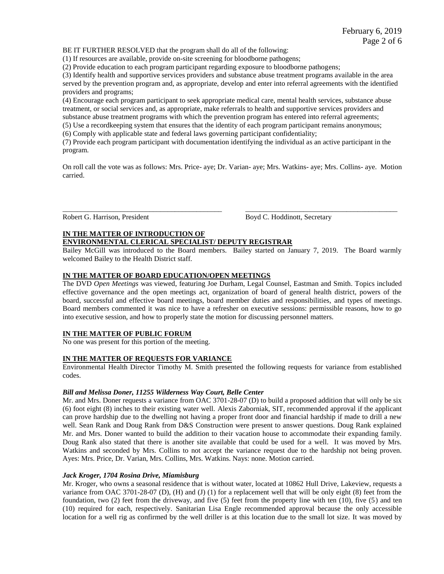BE IT FURTHER RESOLVED that the program shall do all of the following:

(1) If resources are available, provide on-site screening for bloodborne pathogens;

(2) Provide education to each program participant regarding exposure to bloodborne pathogens;

(3) Identify health and supportive services providers and substance abuse treatment programs available in the area served by the prevention program and, as appropriate, develop and enter into referral agreements with the identified providers and programs;

(4) Encourage each program participant to seek appropriate medical care, mental health services, substance abuse treatment, or social services and, as appropriate, make referrals to health and supportive services providers and substance abuse treatment programs with which the prevention program has entered into referral agreements;

(5) Use a recordkeeping system that ensures that the identity of each program participant remains anonymous;

(6) Comply with applicable state and federal laws governing participant confidentiality;

(7) Provide each program participant with documentation identifying the individual as an active participant in the program.

On roll call the vote was as follows: Mrs. Price- aye; Dr. Varian- aye; Mrs. Watkins- aye; Mrs. Collins- aye. Motion carried.

\_\_\_\_\_\_\_\_\_\_\_\_\_\_\_\_\_\_\_\_\_\_\_\_\_\_\_\_\_\_\_\_\_\_\_\_\_\_\_\_\_\_\_\_ \_\_\_\_\_\_\_\_\_\_\_\_\_\_\_\_\_\_\_\_\_\_\_\_\_\_\_\_\_\_\_\_\_\_\_\_\_\_\_\_\_\_

Robert G. Harrison, President Boyd C. Hoddinott, Secretary

## **IN THE MATTER OF INTRODUCTION OF**

# **ENVIRONMENTAL CLERICAL SPECIALIST/ DEPUTY REGISTRAR**

Bailey McGill was introduced to the Board members. Bailey started on January 7, 2019. The Board warmly welcomed Bailey to the Health District staff.

## **IN THE MATTER OF BOARD EDUCATION/OPEN MEETINGS**

The DVD *Open Meetings* was viewed, featuring Joe Durham, Legal Counsel, Eastman and Smith. Topics included effective governance and the open meetings act, organization of board of general health district, powers of the board, successful and effective board meetings, board member duties and responsibilities, and types of meetings. Board members commented it was nice to have a refresher on executive sessions: permissible reasons, how to go into executive session, and how to properly state the motion for discussing personnel matters.

#### **IN THE MATTER OF PUBLIC FORUM**

No one was present for this portion of the meeting.

# **IN THE MATTER OF REQUESTS FOR VARIANCE**

Environmental Health Director Timothy M. Smith presented the following requests for variance from established codes.

#### *Bill and Melissa Doner, 11255 Wilderness Way Court, Belle Center*

Mr. and Mrs. Doner requests a variance from OAC 3701-28-07 (D) to build a proposed addition that will only be six (6) foot eight (8) inches to their existing water well. Alexis Zaborniak, SIT, recommended approval if the applicant can prove hardship due to the dwelling not having a proper front door and financial hardship if made to drill a new well. Sean Rank and Doug Rank from D&S Construction were present to answer questions. Doug Rank explained Mr. and Mrs. Doner wanted to build the addition to their vacation house to accommodate their expanding family. Doug Rank also stated that there is another site available that could be used for a well. It was moved by Mrs. Watkins and seconded by Mrs. Collins to not accept the variance request due to the hardship not being proven. Ayes: Mrs. Price, Dr. Varian, Mrs. Collins, Mrs. Watkins. Nays: none. Motion carried.

#### *Jack Kroger, 1704 Rosina Drive, Miamisburg*

Mr. Kroger, who owns a seasonal residence that is without water, located at 10862 Hull Drive, Lakeview, requests a variance from OAC 3701-28-07 (D), (H) and (J) (1) for a replacement well that will be only eight (8) feet from the foundation, two (2) feet from the driveway, and five (5) feet from the property line with ten (10), five (5) and ten (10) required for each, respectively. Sanitarian Lisa Engle recommended approval because the only accessible location for a well rig as confirmed by the well driller is at this location due to the small lot size. It was moved by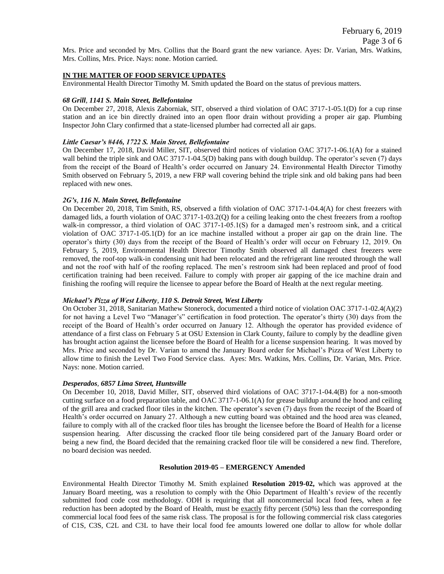Mrs. Price and seconded by Mrs. Collins that the Board grant the new variance. Ayes: Dr. Varian, Mrs. Watkins, Mrs. Collins, Mrs. Price. Nays: none. Motion carried.

#### **IN THE MATTER OF FOOD SERVICE UPDATES**

Environmental Health Director Timothy M. Smith updated the Board on the status of previous matters.

#### *68 Grill*, *1141 S. Main Street, Bellefontaine*

On December 27, 2018, Alexis Zaborniak, SIT, observed a third violation of OAC 3717-1-05.1(D) for a cup rinse station and an ice bin directly drained into an open floor drain without providing a proper air gap. Plumbing Inspector John Clary confirmed that a state-licensed plumber had corrected all air gaps.

#### *Little Caesar's #446, 1722 S. Main Street, Bellefontaine*

On December 17, 2018, David Miller, SIT, observed third notices of violation OAC 3717-1-06.1(A) for a stained wall behind the triple sink and OAC 3717-1-04.5(D) baking pans with dough buildup. The operator's seven (7) days from the receipt of the Board of Health's order occurred on January 24. Environmental Health Director Timothy Smith observed on February 5, 2019, a new FRP wall covering behind the triple sink and old baking pans had been replaced with new ones.

#### *2G's, 116 N. Main Street, Bellefontaine*

On December 20, 2018, Tim Smith, RS, observed a fifth violation of OAC 3717-1-04.4(A) for chest freezers with damaged lids, a fourth violation of OAC 3717-1-03.2(Q) for a ceiling leaking onto the chest freezers from a rooftop walk-in compressor, a third violation of OAC 3717-1-05.1(S) for a damaged men's restroom sink, and a critical violation of OAC 3717-1-05.1(D) for an ice machine installed without a proper air gap on the drain line. The operator's thirty (30) days from the receipt of the Board of Health's order will occur on February 12, 2019. On February 5, 2019, Environmental Health Director Timothy Smith observed all damaged chest freezers were removed, the roof-top walk-in condensing unit had been relocated and the refrigerant line rerouted through the wall and not the roof with half of the roofing replaced. The men's restroom sink had been replaced and proof of food certification training had been received. Failure to comply with proper air gapping of the ice machine drain and finishing the roofing will require the licensee to appear before the Board of Health at the next regular meeting.

#### *Michael's Pizza of West Liberty*, *110 S. Detroit Street, West Liberty*

On October 31, 2018, Sanitarian Mathew Stonerock, documented a third notice of violation OAC 3717-1-02.4(A)(2) for not having a Level Two "Manager's" certification in food protection. The operator's thirty (30) days from the receipt of the Board of Health's order occurred on January 12. Although the operator has provided evidence of attendance of a first class on February 5 at OSU Extension in Clark County, failure to comply by the deadline given has brought action against the licensee before the Board of Health for a license suspension hearing. It was moved by Mrs. Price and seconded by Dr. Varian to amend the January Board order for Michael's Pizza of West Liberty to allow time to finish the Level Two Food Service class. Ayes: Mrs. Watkins, Mrs. Collins, Dr. Varian, Mrs. Price. Nays: none. Motion carried.

#### *Desperados, 6857 Lima Street, Huntsville*

On December 10, 2018, David Miller, SIT, observed third violations of OAC 3717-1-04.4(B) for a non-smooth cutting surface on a food preparation table, and OAC 3717-1-06.1(A) for grease buildup around the hood and ceiling of the grill area and cracked floor tiles in the kitchen. The operator's seven (7) days from the receipt of the Board of Health's order occurred on January 27. Although a new cutting board was obtained and the hood area was cleaned, failure to comply with all of the cracked floor tiles has brought the licensee before the Board of Health for a license suspension hearing. After discussing the cracked floor tile being considered part of the January Board order or being a new find, the Board decided that the remaining cracked floor tile will be considered a new find. Therefore, no board decision was needed.

#### **Resolution 2019-05 – EMERGENCY Amended**

Environmental Health Director Timothy M. Smith explained **Resolution 2019-02,** which was approved at the January Board meeting, was a resolution to comply with the Ohio Department of Health's review of the recently submitted food code cost methodology. ODH is requiring that all noncommercial local food fees, when a fee reduction has been adopted by the Board of Health, must be exactly fifty percent (50%) less than the corresponding commercial local food fees of the same risk class. The proposal is for the following commercial risk class categories of C1S, C3S, C2L and C3L to have their local food fee amounts lowered one dollar to allow for whole dollar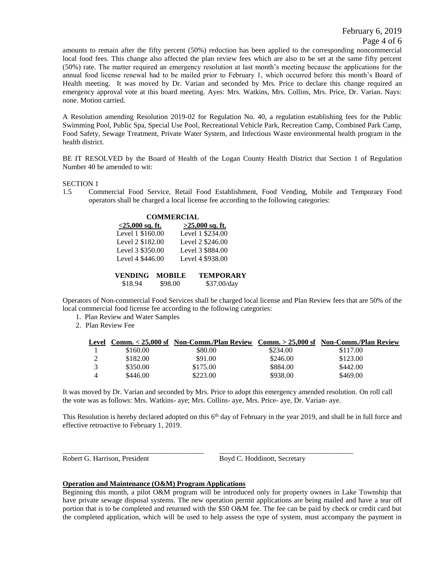amounts to remain after the fifty percent (50%) reduction has been applied to the corresponding noncommercial local food fees. This change also affected the plan review fees which are also to be set at the same fifty percent (50%) rate. The matter required an emergency resolution at last month's meeting because the applications for the annual food license renewal had to be mailed prior to February 1, which occurred before this month's Board of Health meeting. It was moved by Dr. Varian and seconded by Mrs. Price to declare this change required an emergency approval vote at this board meeting. Ayes: Mrs. Watkins, Mrs. Collins, Mrs. Price, Dr. Varian. Nays: none. Motion carried.

A Resolution amending Resolution 2019-02 for Regulation No. 40, a regulation establishing fees for the Public Swimming Pool, Public Spa, Special Use Pool, Recreational Vehicle Park, Recreation Camp, Combined Park Camp, Food Safety, Sewage Treatment, Private Water System, and Infectious Waste environmental health program in the health district.

BE IT RESOLVED by the Board of Health of the Logan County Health District that Section 1 of Regulation Number 40 be amended to wit:

#### SECTION 1

1.5 Commercial Food Service, Retail Food Establishment, Food Vending, Mobile and Temporary Food operators shall be charged a local license fee according to the following categories:

|                           | <b>COMMERCIAL</b>        |                                 |
|---------------------------|--------------------------|---------------------------------|
| $<$ 25,000 sq. ft.        |                          | $>25,000$ sq. ft.               |
| Level 1 \$160.00          |                          | Level 1 \$234.00                |
| Level 2 \$182.00          |                          | Level 2 \$246.00                |
| Level 3 \$350.00          |                          | Level 3 \$884.00                |
| Level 4 \$446.00          |                          | Level 4 \$938.00                |
| <b>VENDING</b><br>\$18.94 | <b>MOBILE</b><br>\$98.00 | <b>TEMPORARY</b><br>\$37.00/day |

Operators of Non-commercial Food Services shall be charged local license and Plan Review fees that are 50% of the local commercial food license fee according to the following categories:

- 1. Plan Review and Water Samples
- 2. Plan Review Fee

| Level |          | Comm. < 25,000 sf Non-Comm./Plan Review Comm. > 25,000 sf Non-Comm./Plan Review |          |          |
|-------|----------|---------------------------------------------------------------------------------|----------|----------|
|       | \$160.00 | \$80.00                                                                         | \$234.00 | \$117.00 |
|       | \$182.00 | \$91.00                                                                         | \$246.00 | \$123.00 |
|       | \$350.00 | \$175.00                                                                        | \$884.00 | \$442.00 |
|       | \$446.00 | \$223.00                                                                        | \$938.00 | \$469.00 |

It was moved by Dr. Varian and seconded by Mrs. Price to adopt this emergency amended resolution. On roll call the vote was as follows: Mrs. Watkins- aye; Mrs. Collins- aye, Mrs. Price- aye, Dr. Varian- aye.

This Resolution is hereby declared adopted on this  $6<sup>th</sup>$  day of February in the year 2019, and shall be in full force and effective retroactive to February 1, 2019.

\_\_\_\_\_\_\_\_\_\_\_\_\_\_\_\_\_\_\_\_\_\_\_\_\_\_\_\_\_\_\_\_\_\_\_\_\_\_\_ \_\_\_\_\_\_\_\_\_\_\_\_\_\_\_\_\_\_\_\_\_\_\_\_\_\_\_\_\_\_\_\_\_\_\_\_\_

Robert G. Harrison, President Boyd C. Hoddinott, Secretary

#### **Operation and Maintenance (O&M) Program Applications**

Beginning this month, a pilot O&M program will be introduced only for property owners in Lake Township that have private sewage disposal systems. The new operation permit applications are being mailed and have a tear off portion that is to be completed and returned with the \$50 O&M fee. The fee can be paid by check or credit card but the completed application, which will be used to help assess the type of system, must accompany the payment in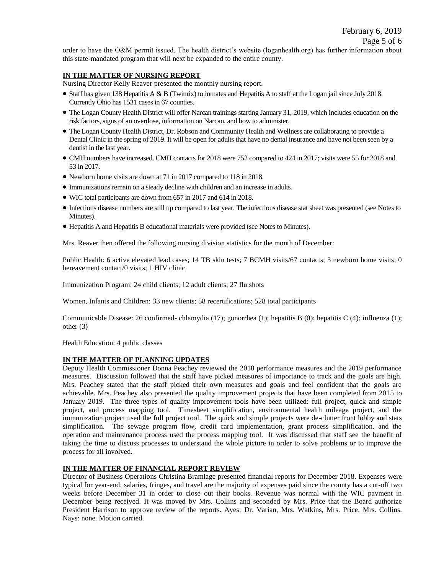order to have the O&M permit issued. The health district's website (loganhealth.org) has further information about this state-mandated program that will next be expanded to the entire county.

# **IN THE MATTER OF NURSING REPORT**

Nursing Director Kelly Reaver presented the monthly nursing report.

- Staff has given 138 Hepatitis A & B (Twinrix) to inmates and Hepatitis A to staff at the Logan jail since July 2018. Currently Ohio has 1531 cases in 67 counties.
- The Logan County Health District will offer Narcan trainings starting January 31, 2019, which includes education on the risk factors, signs of an overdose, information on Narcan, and how to administer.
- The Logan County Health District, Dr. Robson and Community Health and Wellness are collaborating to provide a Dental Clinic in the spring of 2019. It will be open for adults that have no dental insurance and have not been seen by a dentist in the last year.
- CMH numbers have increased. CMH contacts for 2018 were 752 compared to 424 in 2017; visits were 55 for 2018 and 53 in 2017.
- Newborn home visits are down at 71 in 2017 compared to 118 in 2018.
- Immunizations remain on a steady decline with children and an increase in adults.
- WIC total participants are down from 657 in 2017 and 614 in 2018.
- Infectious disease numbers are still up compared to last year. The infectious disease stat sheet was presented (see Notes to Minutes).
- Hepatitis A and Hepatitis B educational materials were provided (see Notes to Minutes).

Mrs. Reaver then offered the following nursing division statistics for the month of December:

Public Health: 6 active elevated lead cases; 14 TB skin tests; 7 BCMH visits/67 contacts; 3 newborn home visits; 0 bereavement contact/0 visits; 1 HIV clinic

Immunization Program: 24 child clients; 12 adult clients; 27 flu shots

Women, Infants and Children: 33 new clients; 58 recertifications; 528 total participants

Communicable Disease: 26 confirmed- chlamydia (17); gonorrhea (1); hepatitis B (0); hepatitis C (4); influenza (1); other (3)

Health Education: 4 public classes

## **IN THE MATTER OF PLANNING UPDATES**

Deputy Health Commissioner Donna Peachey reviewed the 2018 performance measures and the 2019 performance measures. Discussion followed that the staff have picked measures of importance to track and the goals are high. Mrs. Peachey stated that the staff picked their own measures and goals and feel confident that the goals are achievable. Mrs. Peachey also presented the quality improvement projects that have been completed from 2015 to January 2019. The three types of quality improvement tools have been utilized: full project, quick and simple project, and process mapping tool. Timesheet simplification, environmental health mileage project, and the immunization project used the full project tool. The quick and simple projects were de-clutter front lobby and stats simplification. The sewage program flow, credit card implementation, grant process simplification, and the operation and maintenance process used the process mapping tool. It was discussed that staff see the benefit of taking the time to discuss processes to understand the whole picture in order to solve problems or to improve the process for all involved.

## **IN THE MATTER OF FINANCIAL REPORT REVIEW**

Director of Business Operations Christina Bramlage presented financial reports for December 2018. Expenses were typical for year-end; salaries, fringes, and travel are the majority of expenses paid since the county has a cut-off two weeks before December 31 in order to close out their books. Revenue was normal with the WIC payment in December being received. It was moved by Mrs. Collins and seconded by Mrs. Price that the Board authorize President Harrison to approve review of the reports. Ayes: Dr. Varian, Mrs. Watkins, Mrs. Price, Mrs. Collins. Nays: none. Motion carried.